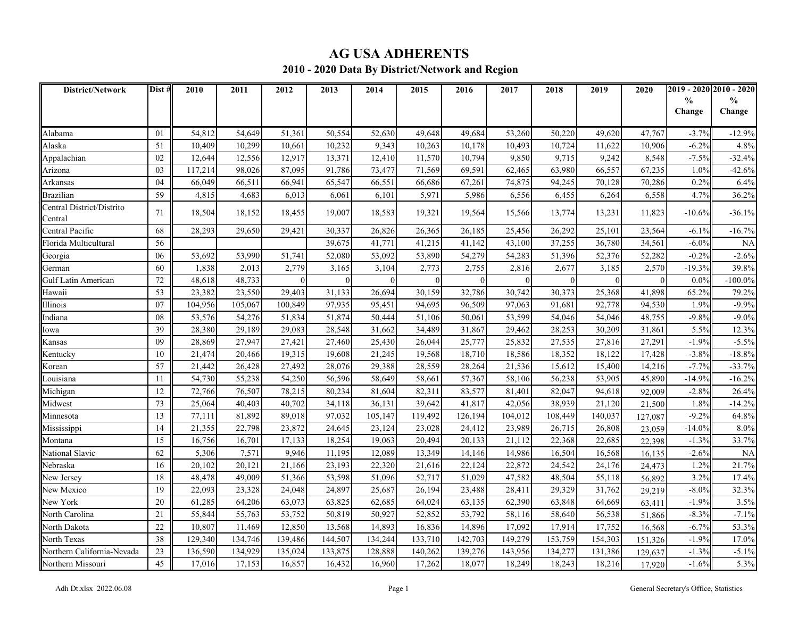# **AG USA ADHERENTS**

### **2010 - 2020 Data By District/Network and Region**

| <b>District/Network</b>              | Dist #          | 2010    | 2011    | 2012     | 2013    | 2014     | 2015    | 2016     | 2017     | 2018     | 2019     | 2020     | 2019 - 2020 2010 - 2020 |            |
|--------------------------------------|-----------------|---------|---------|----------|---------|----------|---------|----------|----------|----------|----------|----------|-------------------------|------------|
|                                      |                 |         |         |          |         |          |         |          |          |          |          |          | $\frac{0}{0}$           | %          |
|                                      |                 |         |         |          |         |          |         |          |          |          |          |          | Change                  | Change     |
| Alabama                              | 01              | 54,812  | 54,649  | 51,361   | 50,554  | 52,630   | 49,648  | 49,684   | 53,260   | 50,220   | 49,620   | 47,767   | $-3.7%$                 | $-12.9%$   |
| Alaska                               | 51              | 10,409  | 10,299  | 10,661   | 10,232  | 9,343    | 10,263  | 10,178   | 10,493   | 10,724   | 11,622   | 10,906   | $-6.2%$                 | 4.8%       |
| Appalachian                          | 02              | 12,644  | 12,556  | 12,917   | 13,371  | 12,410   | 11,570  | 10,794   | 9,850    | 9,715    | 9,242    | 8,548    | $-7.5%$                 | $-32.4%$   |
| Arizona                              | 03              | 117,214 | 98,026  | 87,095   | 91,786  | 73,477   | 71,569  | 69,591   | 62,465   | 63,980   | 66,557   | 67,235   | 1.0%                    | $-42.6%$   |
| Arkansas                             | 04              | 66,049  | 66,511  | 66,941   | 65,547  | 66,551   | 66,686  | 67,261   | 74,875   | 94,245   | 70,128   | 70,286   | 0.2%                    | 6.4%       |
| Brazilian                            | 59              | 4,815   | 4,683   | 6,013    | 6,061   | 6,101    | 5,971   | 5,986    | 6,556    | 6,455    | 6,264    | 6,558    | 4.7%                    | 36.2%      |
| Central District/Distrito<br>Central | 71              | 18,504  | 18,152  | 18,455   | 19,007  | 18,583   | 19,321  | 19,564   | 15,566   | 13,774   | 13,231   | 11,823   | $-10.6%$                | $-36.1%$   |
| Central Pacific                      | 68              | 28,293  | 29,650  | 29,421   | 30,337  | 26,826   | 26,365  | 26,185   | 25,456   | 26,292   | 25,101   | 23,564   | -6.1%                   | $-16.7%$   |
| Florida Multicultural                | 56              |         |         |          | 39,675  | 41,771   | 41,215  | 41,142   | 43,100   | 37,255   | 36,780   | 34,561   | -6.0%                   | <b>NA</b>  |
| Georgia                              | 06              | 53,692  | 53,990  | 51,741   | 52,080  | 53,092   | 53,890  | 54,279   | 54,283   | 51,396   | 52,376   | 52,282   | $-0.2%$                 | $-2.6%$    |
| German                               | 60              | 1,838   | 2,013   | 2,779    | 3,165   | 3,104    | 2,773   | 2,755    | 2,816    | 2,677    | 3,185    | 2,570    | $-19.3%$                | 39.8%      |
| Gulf Latin American                  | 72              | 48,618  | 48,733  | $\Omega$ |         | $\Omega$ |         | $\Omega$ | $\Omega$ | $\Omega$ | $\theta$ | $\Omega$ | $0.0\%$                 | $-100.0\%$ |
| Hawaii                               | 53              | 23,382  | 23,550  | 29,403   | 31,133  | 26,694   | 30,159  | 32,786   | 30,742   | 30,373   | 25,368   | 41,898   | 65.2%                   | 79.2%      |
| Illinois                             | 07              | 104,956 | 105,067 | 100,849  | 97,935  | 95,451   | 94,695  | 96,509   | 97,063   | 91,68    | 92,778   | 94,530   | 1.9%                    | $-9.9%$    |
| Indiana                              | 08              | 53,576  | 54,276  | 51,834   | 51,874  | 50,444   | 51,106  | 50,061   | 53,599   | 54,046   | 54,046   | 48,755   | $-9.8%$                 | $-9.0\%$   |
| Iowa                                 | 39              | 28,380  | 29,189  | 29,083   | 28,548  | 31,662   | 34,489  | 31,867   | 29,462   | 28,253   | 30,209   | 31,861   | 5.5%                    | 12.3%      |
| Kansas                               | 09              | 28,869  | 27,947  | 27,421   | 27,460  | 25,430   | 26,044  | 25,777   | 25,832   | 27,535   | 27,816   | 27,291   | $-1.9%$                 | $-5.5%$    |
| Kentucky                             | 10              | 21,474  | 20,466  | 19,315   | 19,608  | 21,245   | 19,568  | 18,710   | 18,586   | 18,352   | 18,122   | 17,428   | $-3.8%$                 | $-18.8%$   |
| Korean                               | 57              | 21,442  | 26,428  | 27,492   | 28,076  | 29,388   | 28,559  | 28,264   | 21,536   | 15,612   | 15,400   | 14,216   | $-7.7%$                 | $-33.7%$   |
| Louisiana                            | 11              | 54,730  | 55,238  | 54,250   | 56,596  | 58,649   | 58,661  | 57,367   | 58,106   | 56,238   | 53,905   | 45,890   | $-14.9%$                | $-16.2%$   |
| Michigan                             | 12              | 72,766  | 76,507  | 78,215   | 80,234  | 81,604   | 82,311  | 83,577   | 81,401   | 82,047   | 94,618   | 92,009   | $-2.8%$                 | 26.4%      |
| Midwest                              | 73              | 25,064  | 40,403  | 40,702   | 34,118  | 36,131   | 39,642  | 41,817   | 42,056   | 38,939   | 21,120   | 21,500   | 1.8%                    | $-14.2%$   |
| Minnesota                            | 13              | 77,111  | 81,892  | 89,018   | 97,032  | 105,147  | 119,492 | 126,194  | 104,012  | 108,449  | 140,037  | 127,087  | $-9.2%$                 | 64.8%      |
| Mississippi                          | 14              | 21,355  | 22,798  | 23,872   | 24,645  | 23,124   | 23,028  | 24,412   | 23,989   | 26,715   | 26,808   | 23,059   | $-14.0%$                | $8.0\%$    |
| Montana                              | 15              | 16,756  | 16,701  | 17,133   | 18,254  | 19,063   | 20,494  | 20,133   | 21,112   | 22,368   | 22,685   | 22,398   | $-1.3%$                 | 33.7%      |
| National Slavic                      | 62              | 5,306   | 7,571   | 9,946    | 11,195  | 12,089   | 13,349  | 14,146   | 14,986   | 16,504   | 16,568   | 16,135   | $-2.6%$                 | <b>NA</b>  |
| Nebraska                             | 16              | 20,102  | 20,121  | 21,166   | 23,193  | 22,320   | 21,616  | 22,124   | 22,872   | 24,542   | 24,176   | 24,473   | 1.2%                    | 21.7%      |
| New Jersey                           | 18              | 48,478  | 49,009  | 51,366   | 53,598  | 51,096   | 52,717  | 51,029   | 47,582   | 48,504   | 55,118   | 56,892   | 3.2%                    | 17.4%      |
| New Mexico                           | $\overline{19}$ | 22,093  | 23,328  | 24,048   | 24,897  | 25,687   | 26,194  | 23,488   | 28,411   | 29,329   | 31,762   | 29,219   | $-8.0\%$                | 32.3%      |
| New York                             | 20              | 61,285  | 64,206  | 63,073   | 63,825  | 62,685   | 64,024  | 63,135   | 62,390   | 63,848   | 64,669   | 63,411   | $-1.9\%$                | 3.5%       |
| North Carolina                       | 21              | 55,844  | 55,763  | 53,752   | 50,819  | 50,927   | 52,852  | 53,792   | 58,116   | 58,640   | 56,538   | 51,866   | $-8.39$                 | $-7.1%$    |
| North Dakota                         | 22              | 10,807  | 11,469  | 12,850   | 13,568  | 14,893   | 16,836  | 14,896   | 17,092   | 17,914   | 17,752   | 16,568   | $-6.7%$                 | 53.3%      |
| North Texas                          | 38              | 129,340 | 134,746 | 139,486  | 144,507 | 134,244  | 133,710 | 142,703  | 149,279  | 153,759  | 154,303  | 151,326  | $-1.9%$                 | 17.0%      |
| Northern California-Nevada           | 23              | 136,590 | 134,929 | 135,024  | 133,875 | 128,888  | 140,262 | 139,276  | 143,956  | 134,277  | 131,386  | 129,637  | $-1.3%$                 | $-5.1%$    |
| Northern Missouri                    | $\overline{45}$ | 17,016  | 17,153  | 16,857   | 16,432  | 16,960   | 17,262  | 18,077   | 18,249   | 18,243   | 18,216   | 17.920   | $-1.6%$                 | 5.3%       |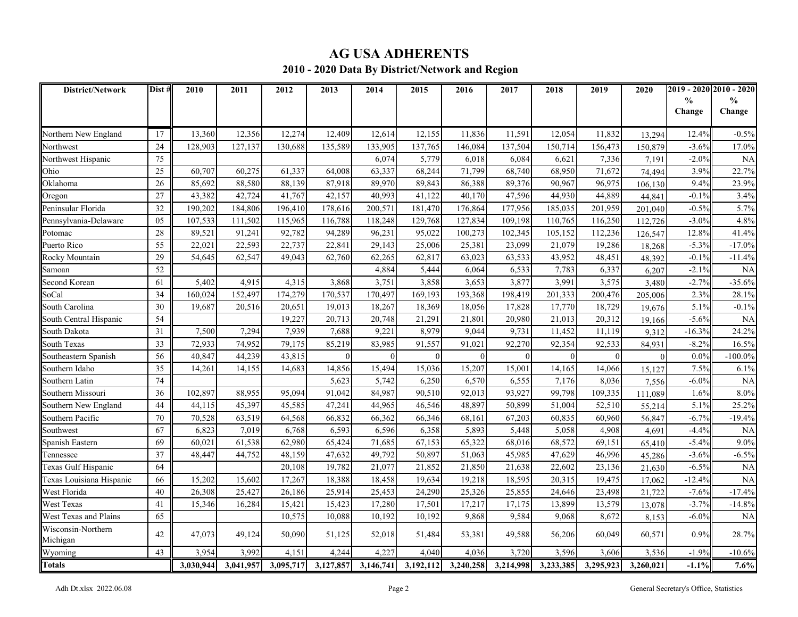# **AG USA ADHERENTS**

### **2010 - 2020 Data By District/Network and Region**

| District/Network         | Dist #          | 2010      | 2011      | 2012      | 2013      | 2014      | 2015      | 2016      | 2017      | 2018      | 2019      | 2020      |               | 2019 - 2020 2010 - 2020 |
|--------------------------|-----------------|-----------|-----------|-----------|-----------|-----------|-----------|-----------|-----------|-----------|-----------|-----------|---------------|-------------------------|
|                          |                 |           |           |           |           |           |           |           |           |           |           |           | $\frac{0}{0}$ | $\frac{0}{0}$           |
|                          |                 |           |           |           |           |           |           |           |           |           |           |           | Change        | Change                  |
| Northern New England     | 17              | 13,360    | 12,356    | 12,274    | 12,409    | 12,614    | 12,155    | 11,836    | 11,591    | 12,054    | 11,832    | 13,294    | 12.4%         | $-0.5%$                 |
| Northwest                | 24              | 128,903   | 127,137   | 130,688   | 135,589   | 133,905   | 137,765   | 146,084   | 137,504   | 150,714   | 156,473   | 150,879   | $-3.6%$       | 17.0%                   |
| Northwest Hispanic       | 75              |           |           |           |           | 6,074     | 5,779     | 6,018     | 6,084     | 6,621     | 7,336     | 7,191     | $-2.0%$       | <b>NA</b>               |
| Ohio                     | 25              | 60,707    | 60,275    | 61,337    | 64,008    | 63,337    | 68,244    | 71,799    | 68,740    | 68,950    | 71,672    | 74,494    | 3.9%          | 22.7%                   |
| Oklahoma                 | 26              | 85,692    | 88,580    | 88,139    | 87,918    | 89,970    | 89,843    | 86,388    | 89,376    | 90,967    | 96,975    | 106,130   | 9.4%          | 23.9%                   |
| Oregon                   | 27              | 43,382    | 42,724    | 41,767    | 42,157    | 40,993    | 41,122    | 40,170    | 47,596    | 44,930    | 44,889    | 44,841    | $-0.1%$       | 3.4%                    |
| Peninsular Florida       | 32              | 190,202   | 184,806   | 196,410   | 178,616   | 200,571   | 181,470   | 176,864   | 177,956   | 185,035   | 201,959   | 201.040   | $-0.5%$       | 5.7%                    |
| Pennsylvania-Delaware    | 05              | 107,533   | 111,502   | 115,965   | 116,788   | 118,248   | 129,768   | 127,834   | 109,198   | 110,765   | 116,250   | 112,726   | $-3.0%$       | 4.8%                    |
| Potomac                  | 28              | 89,521    | 91,241    | 92,782    | 94,289    | 96,231    | 95,022    | 100,273   | 102,345   | 105.152   | 112,236   | 126,547   | 12.8%         | 41.4%                   |
| Puerto Rico              | $\overline{55}$ | 22,021    | 22,593    | 22,737    | 22,841    | 29,143    | 25,006    | 25,381    | 23,099    | 21,079    | 19,286    | 18,268    | $-5.3%$       | $-17.0%$                |
| Rocky Mountain           | 29              | 54,645    | 62,547    | 49,043    | 62,760    | 62,265    | 62,817    | 63,023    | 63,533    | 43,952    | 48,451    | 48,392    | $-0.1%$       | $-11.4%$                |
| Samoan                   | 52              |           |           |           |           | 4,884     | 5,444     | 6,064     | 6,533     | 7,783     | 6,337     | 6,207     | $-2.1%$       | <b>NA</b>               |
| Second Korean            | 61              | 5,402     | 4,915     | 4,315     | 3,868     | 3,751     | 3,858     | 3,653     | 3,877     | 3,991     | 3,575     | 3.480     | $-2.7%$       | $-35.6%$                |
| SoCal                    | 34              | 160,024   | 152,497   | 174,279   | 170,537   | 170,497   | 169,193   | 193,368   | 198,419   | 201,333   | 200,476   | 205,006   | 2.3%          | 28.1%                   |
| South Carolina           | 30              | 19,687    | 20,516    | 20,651    | 19,013    | 18,267    | 18,369    | 18,056    | 17,828    | 17,770    | 18,729    | 19,676    | 5.1%          | $-0.1\%$                |
| South Central Hispanic   | 54              |           |           | 19.227    | 20,713    | 20.748    | 21,291    | 21,801    | 20,980    | 21,013    | 20,312    | 19,166    | $-5.6\%$      | <b>NA</b>               |
| South Dakota             | 31              | 7,500     | 7,294     | 7,939     | 7,688     | 9,221     | 8,979     | 9,044     | 9,731     | 11,452    | 11,119    | 9,312     | $-16.3%$      | 24.2%                   |
| <b>South Texas</b>       | 33              | 72,933    | 74,952    | 79,175    | 85,219    | 83,985    | 91,557    | 91,021    | 92,270    | 92,354    | 92,533    | 84,931    | $-8.2%$       | 16.5%                   |
| Southeastern Spanish     | 56              | 40,847    | 44,239    | 43,815    | $\Omega$  | $\Omega$  | $\Omega$  | $\Omega$  | $\Omega$  | $\Omega$  | $\Omega$  | $\Omega$  | 0.0%          | $-100.0\%$              |
| Southern Idaho           | 35              | 14,261    | 14,155    | 14,683    | 14,856    | 15,494    | 15,036    | 15,207    | 15,001    | 14,165    | 14,066    | 15,127    | 7.5%          | 6.1%                    |
| Southern Latin           | 74              |           |           |           | 5,623     | 5,742     | 6,250     | 6,570     | 6,555     | 7,176     | 8,036     | 7,556     | $-6.0%$       | <b>NA</b>               |
| Southern Missouri        | 36              | 102,897   | 88,955    | 95,094    | 91,042    | 84,987    | 90,510    | 92,013    | 93,927    | 99,798    | 109,335   | 111,089   | 1.6%          | 8.0%                    |
| Southern New England     | 44              | 44,115    | 45,397    | 45,585    | 47,241    | 44,965    | 46,546    | 48,897    | 50,899    | 51,004    | 52,510    | 55,214    | 5.1%          | 25.2%                   |
| Southern Pacific         | 70              | 70,528    | 63,519    | 64,568    | 66,832    | 66,362    | 66,346    | 68,161    | 67,203    | 60,835    | 60,960    | 56,847    | $-6.7%$       | $-19.4%$                |
| Southwest                | 67              | 6,823     | 7,019     | 6,768     | 6,593     | 6,596     | 6,358     | 5,893     | 5,448     | 5,058     | 4,908     | 4,691     | $-4.4%$       | <b>NA</b>               |
| Spanish Eastern          | 69              | 60,021    | 61,538    | 62,980    | 65,424    | 71,685    | 67,153    | 65,322    | 68,016    | 68,572    | 69,151    | 65,410    | $-5.4%$       | 9.0%                    |
| Tennessee                | 37              | 48,447    | 44,752    | 48,159    | 47,632    | 49,792    | 50,897    | 51,063    | 45,985    | 47,629    | 46,996    | 45,286    | $-3.6%$       | $-6.5%$                 |
| Texas Gulf Hispanic      | 64              |           |           | 20.108    | 19,782    | 21,077    | 21,852    | 21,850    | 21,638    | 22,602    | 23,136    | 21,630    | $-6.5%$       | <b>NA</b>               |
| Texas Louisiana Hispanic | 66              | 15,202    | 15,602    | 17,267    | 18,388    | 18,458    | 19,634    | 19,218    | 18,595    | 20,315    | 19,475    | 17,062    | $-12.4%$      | NA                      |
| West Florida             | 40              | 26,308    | 25,427    | 26,186    | 25,914    | 25,453    | 24,290    | 25,326    | 25,855    | 24,646    | 23,498    | 21,722    | $-7.6%$       | $-17.4%$                |
| West Texas               | 41              | 15,346    | 16,284    | 15,421    | 15,423    | 17,280    | 17,501    | 17,217    | 17,175    | 13,899    | 13,579    | 13,078    | $-3.7%$       | $-14.8%$                |
| West Texas and Plains    | 65              |           |           | 10,575    | 10,088    | 10,192    | 10,192    | 9,868     | 9,584     | 9,068     | 8,672     | 8,153     | $-6.0\%$      | <b>NA</b>               |
| Wisconsin-Northern       | 42              | 47,073    | 49,124    | 50,090    | 51,125    | 52,018    | 51,484    | 53,381    | 49,588    | 56,206    | 60,049    | 60,571    | 0.9%          | 28.7%                   |
| Michigan                 |                 |           |           |           |           |           |           |           |           |           |           |           |               |                         |
| Wyoming<br>Totals        | 43              | 3,954     | 3,992     | 4,151     | 4,244     | 4,227     | 4,040     | 4,036     | 3,720     | 3,596     | 3,606     | 3,536     | $-1.9%$       | $-10.6%$                |
|                          |                 | 3.030.944 | 3,041,957 | 3,095,717 | 3,127,857 | 3,146,741 | 3.192.112 | 3,240,258 | 3.214.998 | 3,233,385 | 3,295,923 | 3,260,021 | $-1.1%$       | 7.6%                    |